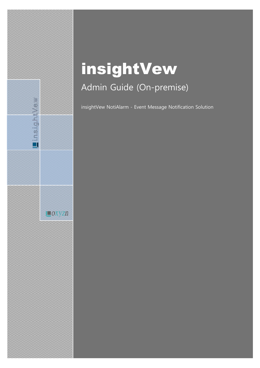# insightVew Admin Guide (On-premise)

Lin.s.i.g.h.t.V.e.w

 $\Box$ OXYZn

insightVew NotiAlarm - Event Message Notification Solution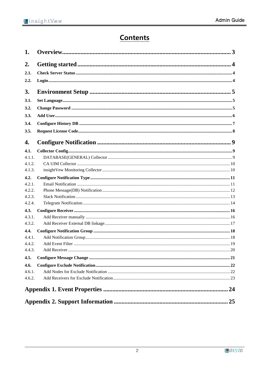# **Contents**

| 1.               |  |
|------------------|--|
| 2.               |  |
| 2.1.             |  |
| 2.2.             |  |
| 3.               |  |
| 3.1.             |  |
| 3.2.             |  |
| 3.3.             |  |
| 3.4.             |  |
| 3.5.             |  |
| 4.               |  |
| 4.1.             |  |
| 4.1.1.           |  |
| 4.1.2.           |  |
| 4.1.3.           |  |
| 4.2.             |  |
| 4.2.1.           |  |
| 4.2.2.           |  |
| 4.2.3.<br>4.2.4. |  |
| 4.3.             |  |
| 4.3.1.           |  |
| 4.3.2.           |  |
| 4.4.             |  |
| 4.4.1.           |  |
| 4.4.2.           |  |
| 4.4.3.           |  |
| 4.5.             |  |
| 4.6.             |  |
| 4.6.1.           |  |
| 4.6.2.           |  |
|                  |  |
|                  |  |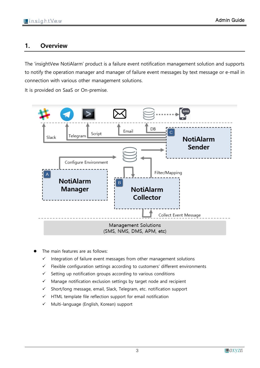# <span id="page-2-0"></span>**1. Overview**

The 'insightVew NotiAlarm' product is a failure event notification management solution and supports to notify the operation manager and manager of failure event messages by text message or e-mail in connection with various other management solutions.

It is provided on SaaS or On-premise.



- The main features are as follows:
	- ✓ Integration of failure event messages from other management solutions
	- ✓ Flexible configuration settings according to customers' different environments
	- ✓ Setting up notification groups according to various conditions
	- ✓ Manage notification exclusion settings by target node and recipient
	- ✓ Short/long message, email, Slack, Telegram, etc. notification support
	- $\checkmark$  HTML template file reflection support for email notification
	- ✓ Multi-language (English, Korean) support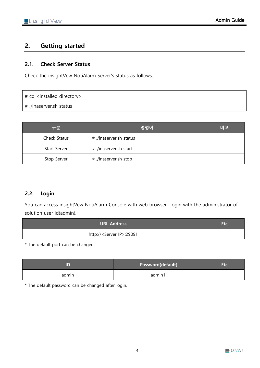# <span id="page-3-0"></span>**2. Getting started**

## <span id="page-3-1"></span>**2.1. Check Server Status**

Check the insightVew NotiAlarm Server's status as follows.

## # cd <installed directory>

# ./inaserver.sh status

| 구분                  | 명령어                     | 비고 |
|---------------------|-------------------------|----|
| Check Status        | # ./inaserver.sh status |    |
| <b>Start Server</b> | # ./inaserver.sh start  |    |
| Stop Server         | # ./inaserver.sh stop   |    |

# <span id="page-3-2"></span>**2.2. Login**

You can access insightVew NotiAlarm Console with web browser. Login with the administrator of solution user id(admin).

| <b>URL Address</b>                    |  |
|---------------------------------------|--|
| http:// <server ip="">:29091</server> |  |

\* The default port can be changed.

|       | Password(default) |  |
|-------|-------------------|--|
| admin | admin1!           |  |

\* The default password can be changed after login.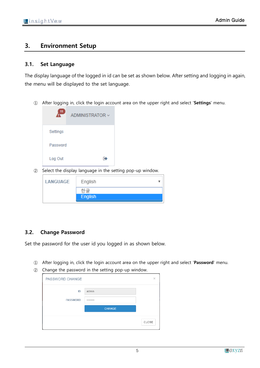# <span id="page-4-0"></span>**3. Environment Setup**

#### <span id="page-4-1"></span>**3.1. Set Language**

The display language of the logged in id can be set as shown below. After setting and logging in again, the menu will be displayed to the set language.

① After logging in, click the login account area on the upper right and select '**Settings**' menu.



② Select the display language in the setting pop-up window.

| LANGUAGE | English |  |
|----------|---------|--|
|          | 한글      |  |
|          | English |  |
|          |         |  |

## <span id="page-4-2"></span>**3.2. Change Password**

Set the password for the user id you logged in as shown below.

- ① After logging in, click the login account area on the upper right and select '**Password**' menu.
- ② Change the password in the setting pop-up window.

| <b>PASSWORD CHANGE</b> |               | ×     |
|------------------------|---------------|-------|
| ID<br><b>PASSWORD</b>  | admin<br>     |       |
|                        | <b>CHANGE</b> |       |
|                        |               | CLOSE |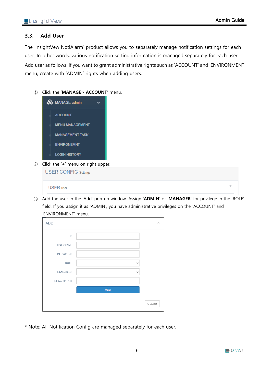#### <span id="page-5-0"></span>**3.3. Add User**

The 'insightVew NotiAlarm' product allows you to separately manage notification settings for each user. In other words, various notification setting information is managed separately for each user. Add user as follows. If you want to grant administrative rights such as 'ACCOUNT' and 'ENVIRONMENT' menu, create with 'ADMIN' rights when adding users.

① Click the '**MANAGE> ACCOUNT**' menu.



② Click the '**+**' menu on right upper.

| Chek the Tribita of Hylit appel.<br><b>USER CONFIG Settings</b> |  |
|-----------------------------------------------------------------|--|
| <b>USER</b> User                                                |  |

③ Add the user in the 'Add' pop-up window. Assign '**ADMIN**' or '**MANAGER**' for privilege in the 'ROLE' field. If you assign it as 'ADMIN', you have administrative privileges on the 'ACCOUNT' and 'ENVIRONMENT' menu.

| <b>ADD</b>         |              | $\times$ |
|--------------------|--------------|----------|
| ID                 |              |          |
| <b>USERNAME</b>    |              |          |
| <b>PASSWORD</b>    |              |          |
| <b>ROLE</b>        | v            |          |
| LANGUAGE           | $\checkmark$ |          |
| <b>DESCRIPTION</b> |              |          |
|                    | <b>ADD</b>   |          |
|                    |              | CLOSE    |

\* Note: All Notification Config are managed separately for each user.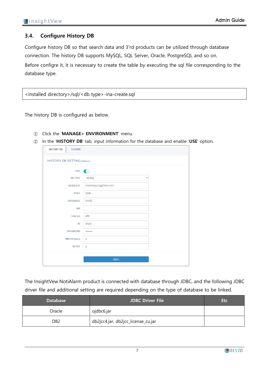# <span id="page-6-0"></span>**3.4. Configure History DB**

Configure history DB so that search data and 3'rd products can be utilized through database connection. The history DB supports MySQL, SQL Server, Oracle, PostgreSQL and so on. Before configre it, it is necessary to create the table by executing the sql file corresponding to the database type.

<installed directory>/sql/<db type>-ina-create.sql

The history DB is configured as below.

- ① Click the '**MANAGE> ENVIRONMENT**' menu.
- ② In the '**HISTORY DB**' tab, input information for the database and enable '**USE**' option.

| <b>LICENSE</b><br><b>HISTORY DB</b> |                                         |  |
|-------------------------------------|-----------------------------------------|--|
| <b>HISTORY DB SETTING Database</b>  |                                         |  |
| <b>USE</b>                          |                                         |  |
| <b>DB TYPE</b>                      | <b>MySQL</b><br>$\overline{\mathbf{v}}$ |  |
| <b>SERVER IP</b>                    | <b>Carlos Constitute Sale</b>           |  |
| <b>PORT</b>                         | 3306                                    |  |
| <b>DATABASE</b>                     | $\sim$                                  |  |
| <b>SID</b>                          |                                         |  |
| <b>CharSet</b>                      | utf8                                    |  |
| ID                                  | <b>Company</b>                          |  |
| <b>PASSWORD</b>                     |                                         |  |
| <b>TIMEOUT(sec)</b>                 | $\overline{5}$                          |  |
| <b>RETRY</b>                        | $\overline{2}$                          |  |
|                                     |                                         |  |
|                                     | <b>SAVE</b>                             |  |

The InsightVew NotiAlarm product is connected with database through JDBC, and the following JDBC driver file and additional setting are required depending on the type of database to be linked.

| <b>Database</b>  | <b>JDBC Driver File</b>            | <b>Etc</b> |
|------------------|------------------------------------|------------|
| Oracle           | ojdbc6.jar                         |            |
| D <sub>B</sub> 2 | db2jcc4.jar, db2jcc_license_cu.jar |            |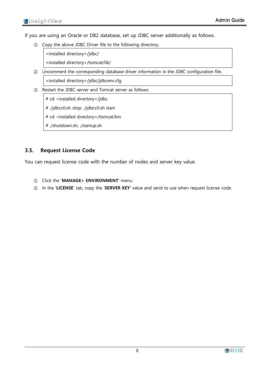If you are using an Oracle or DB2 database, set up JDBC server additionally as follows.

① Copy the above JDBC Driver file to the following directory.

<installed directory>/jdbc/

<installed directory>/tomcat/lib/

② Uncomment the corresponding database driver information in the JDBC configuration file.

<installed directory>/jdbc/jdbcenv.cfg

- ③ Restart the JDBC server and Tomcat server as follows.
	- # cd <installed directory>/jdbc
	- # ./jdbcctl.sh stop; ./jdbcctl.sh start
	- # cd <installed directory>/tomcat/bin
	- # ./shutdown.sh; ./startup.sh

# <span id="page-7-0"></span>**3.5. Request License Code**

You can request license code with the number of nodes and server key value.

- ① Click the '**MANAGE> ENVIRONMENT**' menu.
- ② In the '**LICENSE**' tab, copy the '**SERVER KEY**' value and send to use when request license code.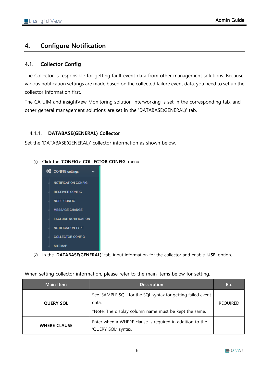# <span id="page-8-0"></span>**4. Configure Notification**

# <span id="page-8-1"></span>**4.1. Collector Config**

The Collector is responsible for getting fault event data from other management solutions. Because various notification settings are made based on the collected failure event data, you need to set up the collector information first.

The CA UIM and insightVew Monitoring solution interworking is set in the corresponding tab, and other general management solutions are set in the 'DATABASE(GENERAL)' tab.

# <span id="page-8-2"></span>**4.1.1. DATABASE(GENERAL) Collector**

Set the 'DATABASE(GENERAL)' collector information as shown below.

#### ① Click the '**CONFIG> COLLECTOR CONFIG**' menu.



② In the '**DATABASE(GENERAL)**' tab, input information for the collector and enable '**USE**' option.

| <b>Main Item</b>    | <b>Description</b>                                                                                                             | <b>Etc</b>      |
|---------------------|--------------------------------------------------------------------------------------------------------------------------------|-----------------|
| <b>QUERY SQL</b>    | See 'SAMPLE SQL' for the SQL syntax for getting failed event<br>data.<br>*Note: The display column name must be kept the same. | <b>REQUIRED</b> |
| <b>WHERE CLAUSE</b> | Enter when a WHERE clause is required in addition to the<br>'QUERY SQL' syntax.                                                |                 |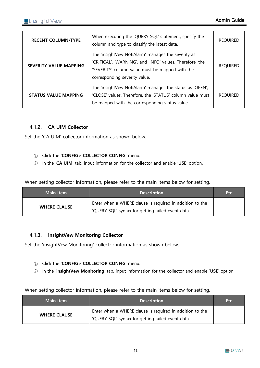| <b>RECENT COLUMN/TYPE</b>     | When executing the 'QUERY SQL' statement, specify the<br>column and type to classify the latest data.                                                                                              | <b>REQUIRED</b> |
|-------------------------------|----------------------------------------------------------------------------------------------------------------------------------------------------------------------------------------------------|-----------------|
| <b>SEVERITY VALUE MAPPING</b> | The 'insightVew NotiAlarm' manages the severity as<br>'CRITICAL', 'WARNING', and 'INFO' values. Therefore, the<br>'SEVERITY' column value must be mapped with the<br>corresponding severity value. | <b>REQUIRED</b> |
| <b>STATUS VALUE MAPPING</b>   | The 'insightVew NotiAlarm' manages the status as 'OPEN',<br>'CLOSE' values. Therefore, the 'STATUS' column value must<br>be mapped with the corresponding status value.                            | <b>REQUIRED</b> |

## <span id="page-9-0"></span>**4.1.2. CA UIM Collector**

Set the 'CA UIM' collector information as shown below.

- ① Click the '**CONFIG> COLLECTOR CONFIG**' menu.
- ② In the '**CA UIM**' tab, input information for the collector and enable '**USE**' option.

When setting collector information, please refer to the main items below for setting.

| <b>Main Item</b>    | <b>Description</b>                                                                                            | <b>Etc</b> |
|---------------------|---------------------------------------------------------------------------------------------------------------|------------|
| <b>WHERE CLAUSE</b> | Enter when a WHERE clause is required in addition to the<br>'QUERY SQL' syntax for getting failed event data. |            |

#### <span id="page-9-1"></span>**4.1.3. insightVew Monitoring Collector**

Set the 'insightVew Monitoring' collector information as shown below.

- ① Click the '**CONFIG> COLLECTOR CONFIG**' menu.
- ② In the '**insightVew Monitoring**' tab, input information for the collector and enable '**USE**' option.

| <b>Main Item</b>    | <b>Description</b>                                                                                            | <b>Etc</b> |
|---------------------|---------------------------------------------------------------------------------------------------------------|------------|
| <b>WHERE CLAUSE</b> | Enter when a WHERE clause is required in addition to the<br>'QUERY SQL' syntax for getting failed event data. |            |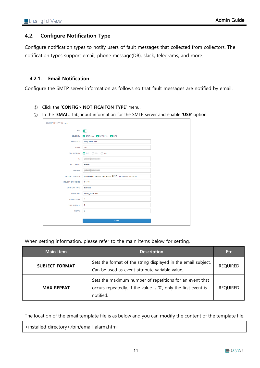## <span id="page-10-0"></span>**4.2. Configure Notification Type**

Configure notification types to notify users of fault messages that collected from collectors. The notification types support email, phone message(DB), slack, telegrams, and more.

#### <span id="page-10-1"></span>**4.2.1. Email Notification**

Configure the SMTP server information as follows so that fault messages are notified by email.

- ① Click the '**CONFIG> NOTIFICAITON TYPE**' menu.
- ② In the '**EMAIL**' tab, input information for the SMTP server and enable '**USE**' option.

| <b>USE</b>              | $\blacksquare$                                             |  |
|-------------------------|------------------------------------------------------------|--|
|                         |                                                            |  |
| <b>SEVERITY</b>         | CRITICAL V WARNING V INFO                                  |  |
| <b>SERVER IP</b>        | smtp.naver.com                                             |  |
| <b>PORT</b>             | 587                                                        |  |
| <b>ENCRYPTION</b>       | OTLS SSL N/A                                               |  |
| ID                      | police (processes)                                         |  |
| <b>PASSWORD</b>         |                                                            |  |
| <b>SENDER</b>           | polarity statement                                         |  |
| <b>SUBJECT FORMAT</b>   | [Shostname] Ssource Ssubsource 이벤트 (Salertgroup/Salertkey) |  |
| <b>SUBJECT ENCODING</b> | UTF-8                                                      |  |
| <b>CONTENT TYPE</b>     | text/html                                                  |  |
| <b>TEMPLATE</b>         | email_alarm.html                                           |  |
| <b>MAX REPEAT</b>       | 3                                                          |  |
| TIMEOUT(sec)            | $\overline{2}$                                             |  |
| <b>RETRY</b>            | $\overline{2}$                                             |  |
|                         |                                                            |  |

When setting information, please refer to the main items below for setting.

| <b>Main Item</b>      | <b>Description</b>                                                                                                                       | <b>Etc</b>      |
|-----------------------|------------------------------------------------------------------------------------------------------------------------------------------|-----------------|
| <b>SUBJECT FORMAT</b> | Sets the format of the string displayed in the email subject.<br>Can be used as event attribute variable value.                          | <b>REQUIRED</b> |
| <b>MAX REPEAT</b>     | Sets the maximum number of repetitions for an event that<br>occurs repeatedly. If the value is '0', only the first event is<br>notified. | <b>REQUIRED</b> |

The location of the email template file is as below and you can modify the content of the template file.

<installed directory>/bin/email\_alarm.html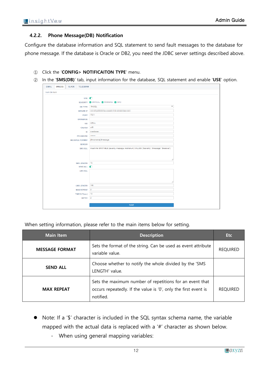#### <span id="page-11-0"></span>**4.2.2. Phone Message(DB) Notification**

Configure the database information and SQL statement to send fault messages to the database for phone message. If the database is Oracle or DB2, you need the JDBC server settings described above.

- ① Click the '**CONFIG> NOTIFICAITON TYPE**' menu.
- ② In the '**SMS(DB)**' tab, input information for the database, SQL statement and enable '**USE**' option.

| <b>EMAIL</b> | SMS(DB) | SLACK TELEGRAM        |                                                                                                      |  |
|--------------|---------|-----------------------|------------------------------------------------------------------------------------------------------|--|
| SMS DB SMS   |         |                       |                                                                                                      |  |
|              |         | USE O                 |                                                                                                      |  |
|              |         |                       | SEVERITY V CRITICAL V WARNING V INFO                                                                 |  |
|              |         | DB TYPE MySQL         | $\boldsymbol{\mathrm{v}}$                                                                            |  |
|              |         |                       | SERVER IP <b>The company of the company of the company of the company</b>                            |  |
|              |         | <b>PORT</b>           | <b>County</b>                                                                                        |  |
|              |         | <b>DATABASE</b>       |                                                                                                      |  |
|              |         | <b>SID</b>            | <b>College College</b>                                                                               |  |
|              |         | CharSet utf8          |                                                                                                      |  |
|              |         | ID                    | <b>CONTRACTOR</b>                                                                                    |  |
|              |         | <b>PASSWORD</b>       |                                                                                                      |  |
|              |         | <b>MESSAGE FORMAT</b> | [Shostname] Smessage                                                                                 |  |
|              |         | <b>SENDER</b>         |                                                                                                      |  |
|              |         | SMS SQL               | insert into SMSTABLE (severity, message, mobilenum) VALUES ('\$severity', '\$message', '\$receiver') |  |
|              |         |                       |                                                                                                      |  |
|              |         |                       |                                                                                                      |  |
|              |         |                       |                                                                                                      |  |
|              |         | SMS LENGTH 70         |                                                                                                      |  |
|              |         | SEND ALL <b>O</b>     |                                                                                                      |  |
|              |         | <b>LMS SQL</b>        |                                                                                                      |  |
|              |         |                       |                                                                                                      |  |
|              |         |                       |                                                                                                      |  |
|              |         | LMS LENGTH 140        |                                                                                                      |  |
|              |         | MAX REPEAT 2          |                                                                                                      |  |
|              |         | TIMEOUT(sec) 10       |                                                                                                      |  |
|              |         | RETRY 2               |                                                                                                      |  |
|              |         |                       |                                                                                                      |  |
|              |         |                       | SAVE                                                                                                 |  |

| <b>Main Item</b>      | <b>Description</b>                                                                                                                       | <b>Etc</b>      |
|-----------------------|------------------------------------------------------------------------------------------------------------------------------------------|-----------------|
| <b>MESSAGE FORMAT</b> | Sets the format of the string. Can be used as event attribute<br>variable value.                                                         | <b>REQUIRED</b> |
| <b>SEND ALL</b>       | Choose whether to notify the whole divided by the 'SMS<br>LENGTH' value.                                                                 |                 |
| <b>MAX REPEAT</b>     | Sets the maximum number of repetitions for an event that<br>occurs repeatedly. If the value is '0', only the first event is<br>notified. | <b>REQUIRED</b> |

- Note: If a '\$' character is included in the SQL syntax schema name, the variable mapped with the actual data is replaced with a '#' character as shown below.
	- When using general mapping variables: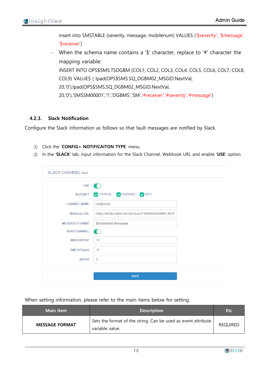insert into SMSTABLE (severity, message, mobilenum) VALUES ('\$severity', '\$message', '\$receiver')

When the schema name contains a '\$' character, replace to '#' character the mapping variable:

INSERT INTO OPS\$SMS.TSDGBM (COL1, COL2, COL3, COL4, COL5, COL6, COL7, COL8, COL9) VALUES ( lpad(OPS\$SMS.SQ\_DGBM02\_MSGID.NextVal,

20,'0'),lpad(OPS\$SMS.SQ\_DGBM02\_MSGID.NextVal,

20,'0'),'SMSSM00001','1','DGBMS','SM','#receiver','#severity','#message')

#### <span id="page-12-0"></span>**4.2.3. Slack Notification**

Configure the Slack information as follows so that fault messages are notified by Slack.

- ① Click the '**CONFIG> NOTIFICAITON TYPE**' menu.
- ② In the '**SLACK**' tab, input information for the Slack Channel, Webhook URL and enable '**USE**' option.

| <b>USE</b>            | n di ser                                     |  |
|-----------------------|----------------------------------------------|--|
| <b>SEVERITY</b>       | CRITICAL V WARNING V INFO                    |  |
| <b>CHANNEL NAME</b>   | <b><i>STATISTICS</i></b>                     |  |
| <b>Webhook URL</b>    | the country of the country of the country of |  |
| <b>MESSAGE FORMAT</b> | [\$hostname] \$message                       |  |
| <b>SEND CHANNEL</b>   | n and                                        |  |
| <b>MAX REPEAT</b>     | 10                                           |  |
| <b>TIMEOUT(sec)</b>   | 10                                           |  |
| <b>RETRY</b>          | $\overline{2}$                               |  |

| <b>Main Item</b>      | <b>Description</b>                                                               | <b>Etc</b>      |
|-----------------------|----------------------------------------------------------------------------------|-----------------|
| <b>MESSAGE FORMAT</b> | Sets the format of the string. Can be used as event attribute<br>variable value. | <b>REQUIRED</b> |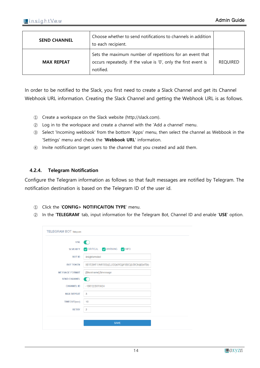| <b>SEND CHANNEL</b> | Choose whether to send notifications to channels in addition<br>to each recipient.                                                       |                 |
|---------------------|------------------------------------------------------------------------------------------------------------------------------------------|-----------------|
| <b>MAX REPEAT</b>   | Sets the maximum number of repetitions for an event that<br>occurs repeatedly. If the value is '0', only the first event is<br>notified. | <b>REQUIRED</b> |

In order to be notified to the Slack, you first need to create a Slack Channel and get its Channel Webhook URL information. Creating the Slack Channel and getting the Webhook URL is as follows.

- ① Create a workspace on the Slack website (http://slack.com).
- ② Log in to the workspace and create a channel with the 'Add a channel' menu.
- ③ Select 'Incoming webbook' from the bottom 'Apps' menu, then select the channel as Webbook in the 'Settings' menu and check the '**Webbook URL**' information.
- ④ Invite notification target users to the channel that you created and add them.

#### <span id="page-13-0"></span>**4.2.4. Telegram Notification**

Configure the Telegram information as follows so that fault messages are notified by Telegram. The notification destination is based on the Telegram ID of the user id.

- ① Click the '**CONFIG> NOTIFICAITON TYPE**' menu.
- ② In the '**TELEGRAM**' tab, input information for the Telegram Bot, Channel ID and enable '**USE**' option.

| <b>USE</b>            |                                        |
|-----------------------|----------------------------------------|
| <b>SEVERITY</b>       | CRITICAL V WARNING V INFO              |
| <b>BOT ID</b>         | <b>HOPPYRIN</b>                        |
| <b>BOT TOKEN</b>      | RESORT LARTER CLEOLER CONTROL POWERFUL |
| <b>MESSAGE FORMAT</b> | [\$hostname] \$message                 |
| <b>SEND CHANNEL</b>   |                                        |
| <b>CHANNEL ID</b>     | <b>CONTRACTOR</b>                      |
| <b>MAX REPEAT</b>     | 3                                      |
| <b>TIMEOUT(sec)</b>   | 10                                     |
| <b>RETRY</b>          | $\overline{2}$                         |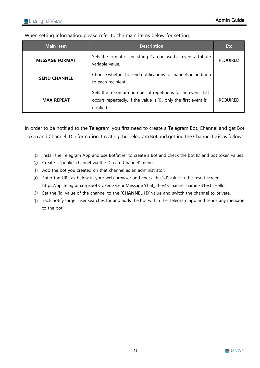When setting information, please refer to the main items below for setting.

| <b>Main Item</b>      | <b>Description</b>                                                                                                                       | <b>Etc</b>      |
|-----------------------|------------------------------------------------------------------------------------------------------------------------------------------|-----------------|
| <b>MESSAGE FORMAT</b> | Sets the format of the string. Can be used as event attribute<br>variable value.                                                         | <b>REQUIRED</b> |
| <b>SEND CHANNEL</b>   | Choose whether to send notifications to channels in addition<br>to each recipient.                                                       |                 |
| <b>MAX REPEAT</b>     | Sets the maximum number of repetitions for an event that<br>occurs repeatedly. If the value is '0', only the first event is<br>notified. | <b>REQUIRED</b> |

In order to be notified to the Telegram, you first need to create a Telegram Bot, Channel and get Bot Token and Channel ID information. Creating the Telegram Bot and getting the Channel ID is as follows.

- ① Install the Telegram App and use Botfather to create a Bot and check the bot ID and bot token values.
- ② Create a 'public' channel via the 'Create Channel' menu.
- ③ Add the bot you created on that channel as an administrator.
- ④ Enter the URL as below in your web browser and check the 'id' value in the result screen. https://api.telegram.org/bot<token>/sendMessage?chat\_id=@<channel name>&text=Hello
- ⑤ Set the 'id' value of the channel to the '**CHANNEL ID**' value and switch the channel to private.
- ⑥ Each notify target user searches for and adds the bot within the Telegram app and sends any message to the bot.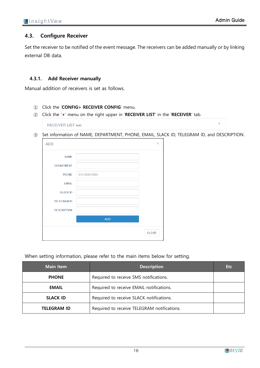$\Phi$ 

#### <span id="page-15-0"></span>**4.3. Configure Receiver**

Set the receiver to be notified of the event message. The receivers can be added manually or by linking external DB data.

#### <span id="page-15-1"></span>**4.3.1. Add Receiver manually**

Manual addition of receivers is set as follows.

- ① Click the '**CONFIG> RECEIVER CONFIG**' menu.
- ② Click the '**+**' menu on the right upper in '**RECEIVER LIST**' in the '**RECEIVER**' tab.

**RECEIVER LIST Notify** 

③ Set information of NAME, DEPARTMENT, PHONE, EMAIL, SLACK ID, TELEGRAM ID, and DESCRIPTION.

| <b>ADD</b>         |               | $\times$ |
|--------------------|---------------|----------|
| <b>NAME</b>        |               |          |
| <b>DEPARTMENT</b>  |               |          |
| <b>PHONE</b>       | 010-0000-0000 |          |
| <b>EMAIL</b>       |               |          |
| <b>SLACK ID</b>    |               |          |
| <b>TELEGRAM ID</b> |               |          |
| <b>DESCRIPTION</b> |               |          |
|                    | <b>ADD</b>    |          |
|                    |               | CLOSE    |

| <b>Main Item</b>   | <b>Description</b>                          | <b>Etc</b> |
|--------------------|---------------------------------------------|------------|
| <b>PHONE</b>       | Required to receive SMS notifications.      |            |
| <b>EMAIL</b>       | Required to receive EMAIL notifications.    |            |
| <b>SLACK ID</b>    | Required to receive SLACK notifications.    |            |
| <b>TELEGRAM ID</b> | Required to receive TELEGRAM notifications. |            |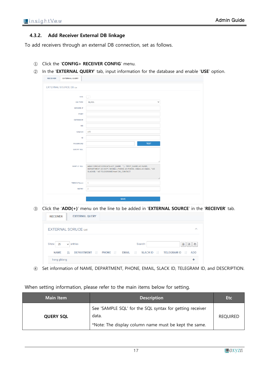#### <span id="page-16-0"></span>**4.3.2. Add Receiver External DB linkage**

To add receivers through an external DB connection, set as follows.

- ① Click the '**CONFIG> RECEIVER CONFIG**' menu.
- ② In the '**EXTERNAL QUERY**' tab, input information for the database and enable '**USE**' option.

| <b>RECEIVER</b><br><b>EXTERNAL QUERY</b> |                                                                                                                             |
|------------------------------------------|-----------------------------------------------------------------------------------------------------------------------------|
| <b>EXTERNAL SOURCE DB List</b>           |                                                                                                                             |
|                                          |                                                                                                                             |
| <b>USE</b>                               | m                                                                                                                           |
| <b>DB TYPE</b>                           | MySQL<br>$\checkmark$                                                                                                       |
| <b>SERVER IP</b>                         |                                                                                                                             |
| <b>PORT</b>                              |                                                                                                                             |
| <b>DATABASE</b>                          |                                                                                                                             |
| <b>SID</b>                               |                                                                                                                             |
| CharSet                                  | utf8                                                                                                                        |
| ID                                       |                                                                                                                             |
|                                          | <b>TEST</b>                                                                                                                 |
| <b>PASSWORD</b>                          |                                                                                                                             |
| QUERY SQL                                |                                                                                                                             |
|                                          |                                                                                                                             |
|                                          |                                                                                                                             |
| SAMPLE SQL                               | select CONCAT(CONCAT(LAST_NAME, 11), FIRST_NAME) AS NAME,<br>DEPARTMENT AS DEPT, MOBILE_PHONE AS PHONE, EMAIL AS EMAIL, "AS |
|                                          | SLACKID, " AS TELEGRAMID from CM_CONTACT                                                                                    |
|                                          |                                                                                                                             |
| TIMEOUT(sec)                             | $\sqrt{5}$                                                                                                                  |
| <b>RETRY</b>                             | $\overline{2}$                                                                                                              |
|                                          |                                                                                                                             |
|                                          | <b>SAVE</b>                                                                                                                 |

③ Click the '**ADD(+)**' menu on the line to be added in '**EXTERNAL SOURCE**' in the '**RECEIVER**' tab.

| Show<br>25 | $\vee$ entries              | Search: | 昀<br>团<br>₿ |
|------------|-----------------------------|---------|-------------|
|            | <b>EXTERNAL SORUCE List</b> |         | ∧           |

④ Set information of NAME, DEPARTMENT, PHONE, EMAIL, SLACK ID, TELEGRAM ID, and DESCRIPTION.

| <b>Main Item</b> | <b>Description</b>                                                                                                         | <b>Etc</b>      |
|------------------|----------------------------------------------------------------------------------------------------------------------------|-----------------|
| <b>QUERY SQL</b> | See 'SAMPLE SQL' for the SQL syntax for getting receiver<br>data.<br>*Note: The display column name must be kept the same. | <b>REQUIRED</b> |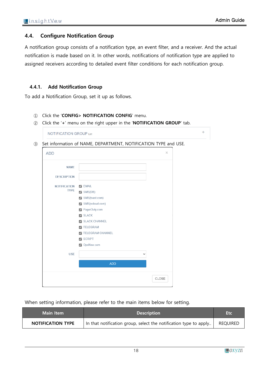÷

## <span id="page-17-0"></span>**4.4. Configure Notification Group**

A notification group consists of a notification type, an event filter, and a receiver. And the actual notification is made based on it. In other words, notifications of notification type are applied to assigned receivers according to detailed event filter conditions for each notification group.

#### <span id="page-17-1"></span>**4.4.1. Add Notification Group**

To add a Notification Group, set it up as follows.

#### ① Click the '**CONFIG> NOTIFICATION CONFIG**' menu.

② Click the '**+**' menu on the right upper in the '**NOTIFICATION GROUP**' tab.

|                     | Set information of NAME, DEPARTMENT, NOTIFICATION TYPE and USE. |              |          |
|---------------------|-----------------------------------------------------------------|--------------|----------|
| <b>ADD</b>          |                                                                 |              | $\times$ |
| <b>NAME</b>         |                                                                 |              |          |
| <b>DESCRIPTION</b>  |                                                                 |              |          |
| <b>NOTIFICATION</b> | $\nabla$ EMAIL                                                  |              |          |
| <b>TYPE</b>         | $\triangledown$ SMS(DB)                                         |              |          |
|                     | SMS(toast.com)                                                  |              |          |
|                     | SMS(ncloud.com)                                                 |              |          |
|                     | PagerDuty.com                                                   |              |          |
|                     | <b>Z</b> SLACK                                                  |              |          |
|                     | SLACK CHANNEL                                                   |              |          |
|                     | <b>7 TELEGRAM</b>                                               |              |          |
|                     | <b>7 TELEGRAM CHANNEL</b>                                       |              |          |
|                     | <b>Z</b> SCRIPT                                                 |              |          |
|                     | OpsNow.com                                                      |              |          |
| <b>USE</b>          |                                                                 | $\checkmark$ |          |
|                     | <b>ADD</b>                                                      |              |          |
|                     |                                                                 |              |          |
|                     |                                                                 |              | CLOSE    |

| Main Item                | <b>Description</b>                                                | Etc             |
|--------------------------|-------------------------------------------------------------------|-----------------|
| <b>NOTIFICATION TYPE</b> | In that notification group, select the notification type to apply | <b>REQUIRED</b> |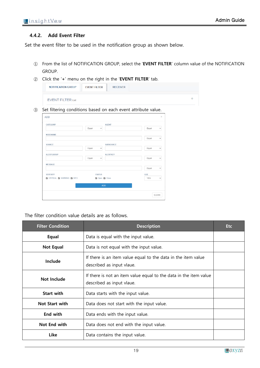#### <span id="page-18-0"></span>**4.4.2. Add Event Filter**

Set the event filter to be used in the notification group as shown below.

- ① From the list of NOTIFICATION GROUP, select the '**EVENT FILTER**' column value of the NOTIFICATION GROUP.
- ② Click the '**+**' menu on the right in the '**EVENT FILTER**' tab.

| <b>NOTIFICATION GROUP</b> | <b>EVENT FILTER</b> | <b>RECEIVER</b> |
|---------------------------|---------------------|-----------------|
| <b>EVENT FILTER List</b>  |                     |                 |

③ Set filtering conditions based on each event attribute value.

| CATEGORY                                         |                       | <b>AGENT</b>     |            |              |
|--------------------------------------------------|-----------------------|------------------|------------|--------------|
|                                                  | Equal<br>$\checkmark$ |                  | Equal      | $\checkmark$ |
| <b>NODENAME</b>                                  |                       |                  |            |              |
|                                                  |                       |                  | Equal      | $\checkmark$ |
| <b>SOURCE</b>                                    |                       | <b>SUBSOURCE</b> |            |              |
|                                                  | Equal<br>$\checkmark$ |                  | Equal      | $\checkmark$ |
| <b>ALERTGROUP</b>                                |                       | <b>ALERTKEY</b>  |            |              |
|                                                  | Equal<br>$\checkmark$ |                  | Equal      | $\checkmark$ |
| <b>MESSAGE</b>                                   |                       |                  |            |              |
|                                                  |                       |                  | Equal      | $\checkmark$ |
| <b>SEVERITY</b>                                  | <b>STATUS</b>         |                  | <b>USE</b> |              |
| <b>Z</b> CRITICAL <b>Z</b> WARNING <b>Z</b> INFO | Open 2 Close          |                  | YES        | $\checkmark$ |
|                                                  |                       | <b>ADD</b>       |            |              |
|                                                  |                       |                  |            |              |

The filter condition value details are as follows.

| <b>Filter Condition</b> | <b>Description</b>                                                                             | <b>Etc</b> |
|-------------------------|------------------------------------------------------------------------------------------------|------------|
| Equal                   | Data is equal with the input value.                                                            |            |
| <b>Not Equal</b>        | Data is not equal with the input value.                                                        |            |
| Include                 | If there is an item value equal to the data in the item value<br>described as input vlaue.     |            |
| Not Include             | If there is not an item value equal to the data in the item value<br>described as input vlaue. |            |
| <b>Start with</b>       | Data starts with the input value.                                                              |            |
| <b>Not Start with</b>   | Data does not start with the input value.                                                      |            |
| <b>End with</b>         | Data ends with the input value.                                                                |            |
| Not End with            | Data does not end with the input value.                                                        |            |
| <b>Like</b>             | Data contains the input value.                                                                 |            |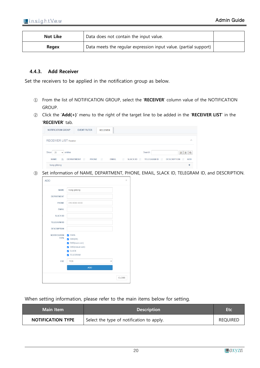| <b>Not Like</b> | Data does not contain the input value.                           |  |
|-----------------|------------------------------------------------------------------|--|
| Regex           | Data meets the regular expression input value. (partial support) |  |

#### <span id="page-19-0"></span>**4.4.3. Add Receiver**

Set the receivers to be applied in the notification group as below.

- ① From the list of NOTIFICATION GROUP, select the '**RECEIVER**' column value of the NOTIFICATION GROUP.
- ② Click the '**Add(+)**' menu to the right of the target line to be added in the '**RECEIVER LIST**' in the '**RECEIVER**' tab.

| <b>NOTIFICATION GROUP</b><br><b>EVENT FILTER</b><br><b>RECEIVER</b><br>w                                                                                                                |                    |
|-----------------------------------------------------------------------------------------------------------------------------------------------------------------------------------------|--------------------|
| <b>RECEIVER LIST Receiver</b>                                                                                                                                                           | $\curvearrowright$ |
| Show<br>Search:<br>$\vee$ entries<br>25<br>团<br>⊟                                                                                                                                       | e                  |
| <b>TELEGRAM ID</b> IT<br><b>DEPARTMENT</b><br><b>It</b><br><b>NAME</b><br>$\perp$ î<br><b>EMAIL</b><br><b>SLACK ID LT</b><br><b>DESCRIPTION IT</b><br>Jà.<br><b>PHONE</b><br><b>ADD</b> |                    |
| hong gildong                                                                                                                                                                            |                    |

③ Set information of NAME, DEPARTMENT, PHONE, EMAIL, SLACK ID, TELEGRAM ID, and DESCRIPTION.

| <b>NAME</b>         | hong gildong            |              |
|---------------------|-------------------------|--------------|
| <b>DEPARTMENT</b>   |                         |              |
| <b>PHONE</b>        | 010-0000-0000           |              |
| <b>EMAIL</b>        |                         |              |
| <b>SLACK ID</b>     |                         |              |
| <b>TELEGRAM ID</b>  |                         |              |
| <b>DESCRIPTION</b>  |                         |              |
| <b>NOTIFICATION</b> | <b>Z</b> EMAIL          |              |
| <b>TYPE</b>         | $\triangledown$ SMS(DB) |              |
|                     | SMS(toast.com)          |              |
|                     | SMS(ncloud.com)         |              |
|                     | SLACK                   |              |
|                     | <b>7</b> TELEGRAM       |              |
| <b>USE</b>          | YES                     | $\checkmark$ |
|                     | <b>ADD</b>              |              |

| <b>Main Item</b>         | <b>Description</b>                        | <b>Etc</b>      |
|--------------------------|-------------------------------------------|-----------------|
| <b>NOTIFICATION TYPE</b> | Select the type of notification to apply. | <b>REQUIRED</b> |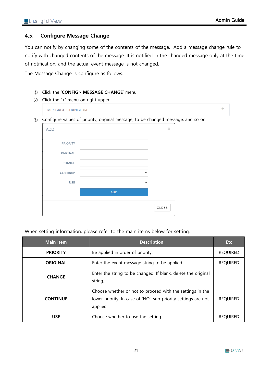÷

# <span id="page-20-0"></span>**4.5. Configure Message Change**

You can notify by changing some of the contents of the message. Add a message change rule to notify with changed contents of the message. It is notified in the changed message only at the time of notification, and the actual event message is not changed.

The Message Change is configure as follows.

- ① Click the '**CONFIG> MESSAGE CHANGE**' menu.
- ② Click the '**+**' menu on right upper.

**MESSAGE CHANGE List** 

③ Configure values of priority, original message, to be changed message, and so on.

| <b>ADD</b>      |              | $\times$ |
|-----------------|--------------|----------|
| <b>PRIORITY</b> |              |          |
| ORIGINAL        |              |          |
| <b>CHANGE</b>   |              |          |
| <b>CONTINUE</b> | $\checkmark$ |          |
| <b>USE</b>      | $\checkmark$ |          |
|                 | ADD          |          |
|                 |              | CLOSE    |

| <b>Main Item</b> | <b>Description</b>                                                                                                                      | <b>Etc</b>      |
|------------------|-----------------------------------------------------------------------------------------------------------------------------------------|-----------------|
| <b>PRIORITY</b>  | Be applied in order of priority.                                                                                                        | <b>REQUIRED</b> |
| <b>ORIGINAL</b>  | Enter the event message string to be applied.                                                                                           | <b>REQUIRED</b> |
| <b>CHANGE</b>    | Enter the string to be changed. If blank, delete the original<br>string.                                                                |                 |
| <b>CONTINUE</b>  | Choose whether or not to proceed with the settings in the<br>lower priority. In case of 'NO', sub-priority settings are not<br>applied. | <b>REQUIRED</b> |
| <b>USE</b>       | Choose whether to use the setting.                                                                                                      | <b>REQUIRED</b> |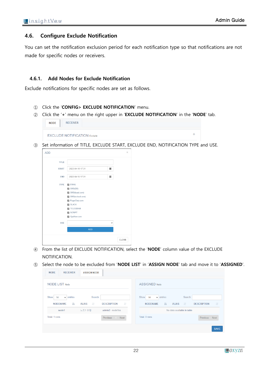ą.

#### <span id="page-21-0"></span>**4.6. Configure Exclude Notification**

You can set the notification exclusion period for each notification type so that notifications are not made for specific nodes or receivers.

#### <span id="page-21-1"></span>**4.6.1. Add Nodes for Exclude Notification**

Exclude notifications for specific nodes are set as follows.

- ① Click the '**CONFIG> EXCLUDE NOTIFICATION**' menu.
- ② Click the '**+**' menu on the right upper in '**EXCLUDE NOTIFICATION**' in the '**NODE**' tab.

| <b>NODE</b> |
|-------------|
|-------------|

```
EXCLUDE NOTIFICATION Exclude
```
③ Set information of TITLE, EXCLUDE START, EXCLUDE END, NOTIFICATION TYPE and USE.



- ④ From the list of EXCLUDE NOTIFICATION, select the '**NODE**' column value of the EXCLUDE NOTIFICATION.
- ⑤ Select the node to be excluded from '**NODE LIST**' in '**ASSIGN NODE**' tab and move it to '**ASSIGNED**'.

| <b>NODE LIST Node</b>         |                         |                                 | <b>ASSIGNED Node</b>                                                                      |
|-------------------------------|-------------------------|---------------------------------|-------------------------------------------------------------------------------------------|
| Show<br>$\vee$ entries<br>-50 | Search:                 |                                 | Show<br>Search:<br>$\vee$ entries<br>50                                                   |
| Jä.<br><b>NODENAME</b>        | $\perp$<br><b>ALIAS</b> | $\perp$ î<br><b>DESCRIPTION</b> | Jã.<br>$\perp$ î<br><b>NODENAME</b><br>$\mathbf{u}$<br><b>DESCRIPTION</b><br><b>ALIAS</b> |
| node1                         | 노트1 수정                  | admin2 - node1ss                | No data available in table                                                                |
| Total: 1 rows                 |                         | Previous 1<br><b>Next</b>       | Total: 0 rows<br><b>Previous</b><br>Next                                                  |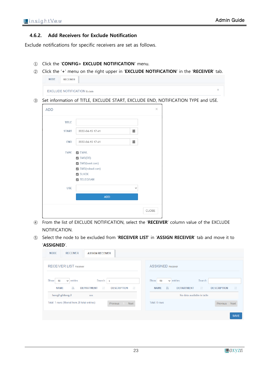#### <span id="page-22-0"></span>**4.6.2. Add Receivers for Exclude Notification**

Exclude notifications for specific receivers are set as follows.

- ① Click the '**CONFIG> EXCLUDE NOTIFICATION**' menu.
- ② Click the '**+**' menu on the right upper in '**EXCLUDE NOTIFICATION**' in the '**RECEIVER**' tab. **NODE RECEIVER**

| <b>EXCLUDE NOTIFICATION Exclude</b> |  |
|-------------------------------------|--|
|                                     |  |

③ Set information of TITLE, EXCLUDE START, EXCLUDE END, NOTIFICATION TYPE and USE.

| <b>ADD</b>   |                                   | $\asymp$ |
|--------------|-----------------------------------|----------|
| <b>TITLE</b> |                                   |          |
| <b>START</b> | 藟<br>2022-04-15 17:41             |          |
| <b>END</b>   | 藟<br>2022-04-15 17:41             |          |
| <b>TYPE</b>  | $\nabla$ EMAIL                    |          |
|              | $\triangledown$ SMS(DB)           |          |
|              | SMS(toast.com)<br>SMS(ncloud.com) |          |
|              | SLACK                             |          |
|              | <b>7 TELEGRAM</b>                 |          |
| <b>USE</b>   | v                                 |          |
|              | <b>ADD</b>                        |          |
|              |                                   |          |
|              |                                   | CLOSE    |
|              |                                   |          |

- ④ From the list of EXCLUDE NOTIFICATION, select the '**RECEIVER**' column value of the EXCLUDE NOTIFICATION.
- ⑤ Select the node to be excluded from '**RECEIVER LIST**' in '**ASSIGN RECEIVER**' tab and move it to '**ASSIGNED**'.

| <b>NODE</b><br><b>RECEIVER</b><br><b>ASSIGN RECEIVER</b>                                                                                              |                                                                                                                                            |
|-------------------------------------------------------------------------------------------------------------------------------------------------------|--------------------------------------------------------------------------------------------------------------------------------------------|
| <b>RECEIVER LIST Receiver</b>                                                                                                                         | <b>ASSIGNED Receiver</b>                                                                                                                   |
| Show<br>entries<br>Search: $\vert s \vert$<br>50<br>$\checkmark$<br><b>NAME</b><br>1ì.<br><b>DEPARTMENT</b><br><b>DESCRIPTION</b><br><b>LT</b><br>Jî. | Show<br>entries<br>Search:<br>50<br>$\checkmark$<br><b>It</b><br><b>It</b><br><b>DEPARTMENT</b><br><b>DESCRIPTION</b><br><b>NAME</b><br>ΠĿ |
| hong2 gildong 2<br>SSS                                                                                                                                | No data available in table                                                                                                                 |
| Total: 1 rows (filtered from 20 total entries)<br>Next<br><b>Previous</b>                                                                             | Total: 0 rows<br><b>Previous</b><br>Next                                                                                                   |
|                                                                                                                                                       | <b>SAVE</b>                                                                                                                                |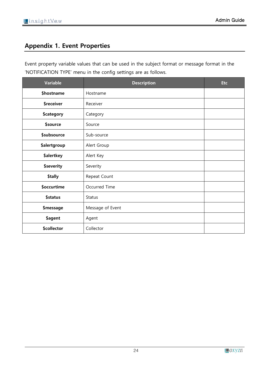# <span id="page-23-0"></span>**Appendix 1. Event Properties**

Event property variable values that can be used in the subject format or message format in the 'NOTIFICATION TYPE' menu in the config settings are as follows.

| <b>Variable</b>     | <b>Description</b> | <b>Etc</b> |
|---------------------|--------------------|------------|
| \$hostname          | Hostname           |            |
| \$receiver          | Receiver           |            |
| \$category          | Category           |            |
| \$source            | Source             |            |
| \$subsource         | Sub-source         |            |
| <b>\$alertgroup</b> | Alert Group        |            |
| \$alertkey          | Alert Key          |            |
| \$severity          | Severity           |            |
| \$tally             | Repeat Count       |            |
| \$occurtime         | Occurred Time      |            |
| <b>\$status</b>     | <b>Status</b>      |            |
| \$message           | Message of Event   |            |
| \$agent             | Agent              |            |
| \$collector         | Collector          |            |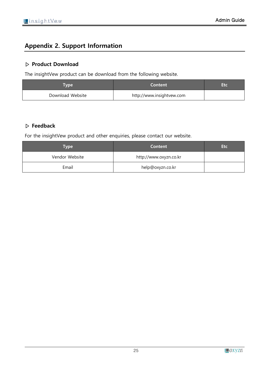# <span id="page-24-0"></span>**Appendix 2. Support Information**

# **▷ Product Download**

The insightVew product can be download from the following website.

| <b>Type</b>      | Content                   | ar v |
|------------------|---------------------------|------|
| Download Website | http://www.insightvew.com |      |

# **▷ Feedback**

For the insightVew product and other enquiries, please contact our website.

| Type           | <b>Content</b>         | <b>Etc</b> |
|----------------|------------------------|------------|
| Vendor Website | http://www.oxyzn.co.kr |            |
| Email          | help@oxyzn.co.kr       |            |